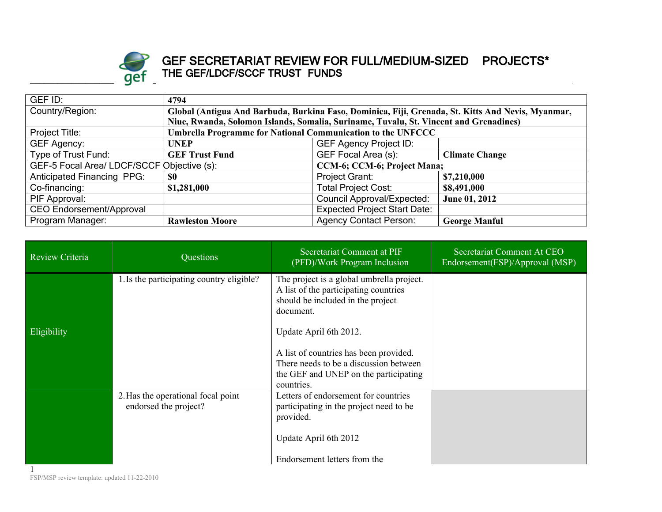

## $\mathsf{G}\mathsf{E}\mathsf{I}$  . The definition from front for  $\mathsf{C}\mathsf{I}$ **GEF SECRETARIAT REVIEW FOR FULL/MEDIUM-SIZED PROJECTS\* THE GEF/LDCF/SCCF TRUST FUNDS**

| GEF ID:                                    | 4794                                                                                              |                                     |                       |
|--------------------------------------------|---------------------------------------------------------------------------------------------------|-------------------------------------|-----------------------|
| Country/Region:                            | Global (Antigua And Barbuda, Burkina Faso, Dominica, Fiji, Grenada, St. Kitts And Nevis, Myanmar, |                                     |                       |
|                                            | Niue, Rwanda, Solomon Islands, Somalia, Suriname, Tuvalu, St. Vincent and Grenadines)             |                                     |                       |
| Project Title:                             | Umbrella Programme for National Communication to the UNFCCC                                       |                                     |                       |
| GEF Agency:                                | <b>UNEP</b>                                                                                       | <b>GEF Agency Project ID:</b>       |                       |
| Type of Trust Fund:                        | <b>GEF Trust Fund</b>                                                                             | GEF Focal Area (s):                 | <b>Climate Change</b> |
| GEF-5 Focal Area/ LDCF/SCCF Objective (s): |                                                                                                   | CCM-6; CCM-6; Project Mana;         |                       |
| <b>Anticipated Financing PPG:</b>          | \$0                                                                                               | <b>Project Grant:</b>               | \$7,210,000           |
| Co-financing:                              | \$1,281,000                                                                                       | <b>Total Project Cost:</b>          | \$8,491,000           |
| PIF Approval:                              |                                                                                                   | <b>Council Approval/Expected:</b>   | June 01, 2012         |
| <b>CEO Endorsement/Approval</b>            |                                                                                                   | <b>Expected Project Start Date:</b> |                       |
| Program Manager:                           | <b>Rawleston Moore</b>                                                                            | <b>Agency Contact Person:</b>       | <b>George Manful</b>  |

| Review Criteria | Questions                                                   | Secretariat Comment at PIF<br>(PFD)/Work Program Inclusion                                                                                                     | Secretariat Comment At CEO<br>Endorsement(FSP)/Approval (MSP) |
|-----------------|-------------------------------------------------------------|----------------------------------------------------------------------------------------------------------------------------------------------------------------|---------------------------------------------------------------|
| Eligibility     | 1. Is the participating country eligible?                   | The project is a global umbrella project.<br>A list of the participating countries<br>should be included in the project<br>document.<br>Update April 6th 2012. |                                                               |
|                 |                                                             | A list of countries has been provided.<br>There needs to be a discussion between<br>the GEF and UNEP on the participating<br>countries.                        |                                                               |
|                 | 2. Has the operational focal point<br>endorsed the project? | Letters of endorsement for countries<br>participating in the project need to be<br>provided.                                                                   |                                                               |
|                 |                                                             | Update April 6th 2012<br>Endorsement letters from the                                                                                                          |                                                               |

1 FSP/MSP review template: updated 11-22-2010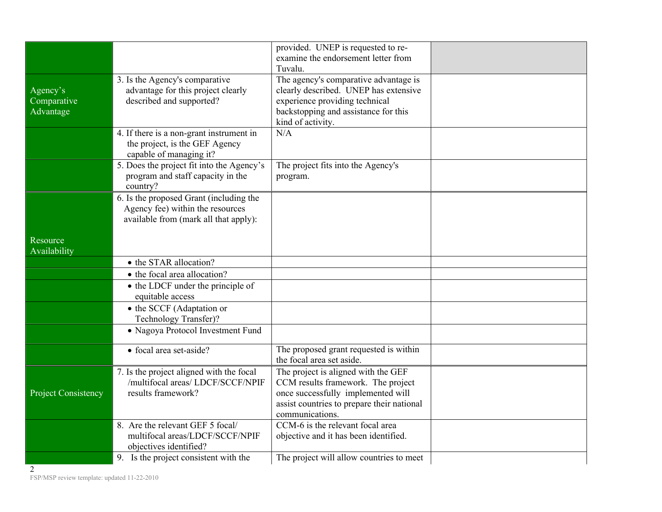|                                      |                                                                                                                      | provided. UNEP is requested to re-<br>examine the endorsement letter from                                                                                                        |  |
|--------------------------------------|----------------------------------------------------------------------------------------------------------------------|----------------------------------------------------------------------------------------------------------------------------------------------------------------------------------|--|
|                                      |                                                                                                                      | Tuvalu.                                                                                                                                                                          |  |
| Agency's<br>Comparative<br>Advantage | 3. Is the Agency's comparative<br>advantage for this project clearly<br>described and supported?                     | The agency's comparative advantage is<br>clearly described. UNEP has extensive<br>experience providing technical<br>backstopping and assistance for this<br>kind of activity.    |  |
|                                      | 4. If there is a non-grant instrument in<br>the project, is the GEF Agency<br>capable of managing it?                | N/A                                                                                                                                                                              |  |
|                                      | 5. Does the project fit into the Agency's<br>program and staff capacity in the<br>country?                           | The project fits into the Agency's<br>program.                                                                                                                                   |  |
|                                      | 6. Is the proposed Grant (including the<br>Agency fee) within the resources<br>available from (mark all that apply): |                                                                                                                                                                                  |  |
| Resource<br>Availability             |                                                                                                                      |                                                                                                                                                                                  |  |
|                                      | • the STAR allocation?                                                                                               |                                                                                                                                                                                  |  |
|                                      | • the focal area allocation?                                                                                         |                                                                                                                                                                                  |  |
|                                      | • the LDCF under the principle of<br>equitable access                                                                |                                                                                                                                                                                  |  |
|                                      | • the SCCF (Adaptation or<br>Technology Transfer)?                                                                   |                                                                                                                                                                                  |  |
|                                      | • Nagoya Protocol Investment Fund                                                                                    |                                                                                                                                                                                  |  |
|                                      | • focal area set-aside?                                                                                              | The proposed grant requested is within<br>the focal area set aside.                                                                                                              |  |
| <b>Project Consistency</b>           | 7. Is the project aligned with the focal<br>/multifocal areas/ LDCF/SCCF/NPIF<br>results framework?                  | The project is aligned with the GEF<br>CCM results framework. The project<br>once successfully implemented will<br>assist countries to prepare their national<br>communications. |  |
|                                      | 8. Are the relevant GEF 5 focal/<br>multifocal areas/LDCF/SCCF/NPIF<br>objectives identified?                        | CCM-6 is the relevant focal area<br>objective and it has been identified.                                                                                                        |  |
|                                      | 9. Is the project consistent with the                                                                                | The project will allow countries to meet                                                                                                                                         |  |
| 2                                    |                                                                                                                      |                                                                                                                                                                                  |  |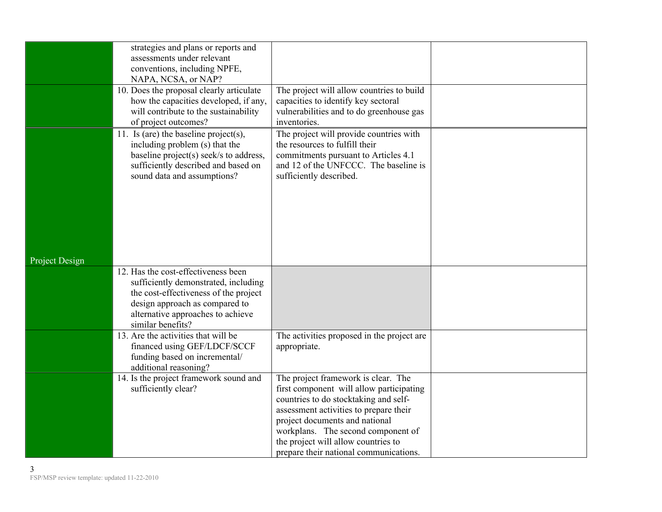|                | strategies and plans or reports and<br>assessments under relevant<br>conventions, including NPFE,<br>NAPA, NCSA, or NAP?                                                                                         |                                                                                                                                                                                                                                                                                                                             |  |
|----------------|------------------------------------------------------------------------------------------------------------------------------------------------------------------------------------------------------------------|-----------------------------------------------------------------------------------------------------------------------------------------------------------------------------------------------------------------------------------------------------------------------------------------------------------------------------|--|
|                | 10. Does the proposal clearly articulate<br>how the capacities developed, if any,<br>will contribute to the sustainability<br>of project outcomes?                                                               | The project will allow countries to build<br>capacities to identify key sectoral<br>vulnerabilities and to do greenhouse gas<br>inventories.                                                                                                                                                                                |  |
|                | 11. Is (are) the baseline project(s),<br>including problem (s) that the<br>baseline project(s) seek/s to address,<br>sufficiently described and based on<br>sound data and assumptions?                          | The project will provide countries with<br>the resources to fulfill their<br>commitments pursuant to Articles 4.1<br>and 12 of the UNFCCC. The baseline is<br>sufficiently described.                                                                                                                                       |  |
| Project Design |                                                                                                                                                                                                                  |                                                                                                                                                                                                                                                                                                                             |  |
|                | 12. Has the cost-effectiveness been<br>sufficiently demonstrated, including<br>the cost-effectiveness of the project<br>design approach as compared to<br>alternative approaches to achieve<br>similar benefits? |                                                                                                                                                                                                                                                                                                                             |  |
|                | 13. Are the activities that will be<br>financed using GEF/LDCF/SCCF<br>funding based on incremental/<br>additional reasoning?                                                                                    | The activities proposed in the project are<br>appropriate.                                                                                                                                                                                                                                                                  |  |
|                | 14. Is the project framework sound and<br>sufficiently clear?                                                                                                                                                    | The project framework is clear. The<br>first component will allow participating<br>countries to do stocktaking and self-<br>assessment activities to prepare their<br>project documents and national<br>workplans. The second component of<br>the project will allow countries to<br>prepare their national communications. |  |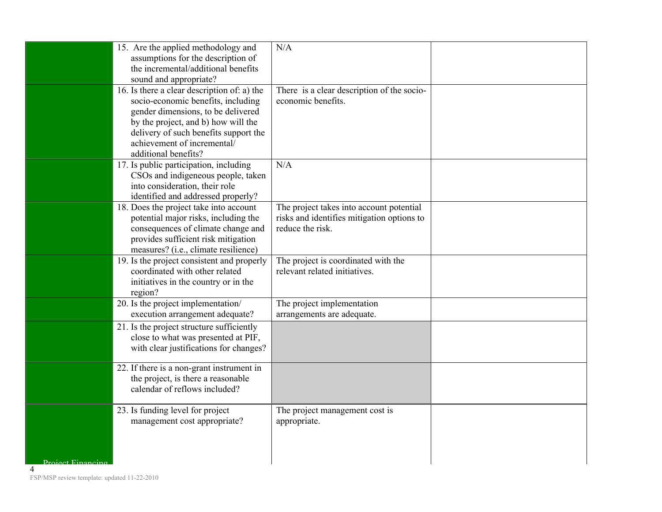|                   | 15. Are the applied methodology and<br>assumptions for the description of<br>the incremental/additional benefits<br>sound and appropriate?<br>16. Is there a clear description of: a) the                       | N/A<br>There is a clear description of the socio-                                                          |  |
|-------------------|-----------------------------------------------------------------------------------------------------------------------------------------------------------------------------------------------------------------|------------------------------------------------------------------------------------------------------------|--|
|                   | socio-economic benefits, including<br>gender dimensions, to be delivered<br>by the project, and b) how will the<br>delivery of such benefits support the<br>achievement of incremental/<br>additional benefits? | economic benefits.                                                                                         |  |
|                   | 17. Is public participation, including<br>CSOs and indigeneous people, taken<br>into consideration, their role<br>identified and addressed properly?                                                            | N/A                                                                                                        |  |
|                   | 18. Does the project take into account<br>potential major risks, including the<br>consequences of climate change and<br>provides sufficient risk mitigation<br>measures? (i.e., climate resilience)             | The project takes into account potential<br>risks and identifies mitigation options to<br>reduce the risk. |  |
|                   | 19. Is the project consistent and properly<br>coordinated with other related<br>initiatives in the country or in the<br>region?                                                                                 | The project is coordinated with the<br>relevant related initiatives.                                       |  |
|                   | 20. Is the project implementation/<br>execution arrangement adequate?                                                                                                                                           | The project implementation<br>arrangements are adequate.                                                   |  |
|                   | 21. Is the project structure sufficiently<br>close to what was presented at PIF,<br>with clear justifications for changes?                                                                                      |                                                                                                            |  |
|                   | 22. If there is a non-grant instrument in<br>the project, is there a reasonable<br>calendar of reflows included?                                                                                                |                                                                                                            |  |
|                   | 23. Is funding level for project<br>management cost appropriate?                                                                                                                                                | The project management cost is<br>appropriate.                                                             |  |
| Project Financing |                                                                                                                                                                                                                 |                                                                                                            |  |

FSP/MSP review template: updated 11-22-2010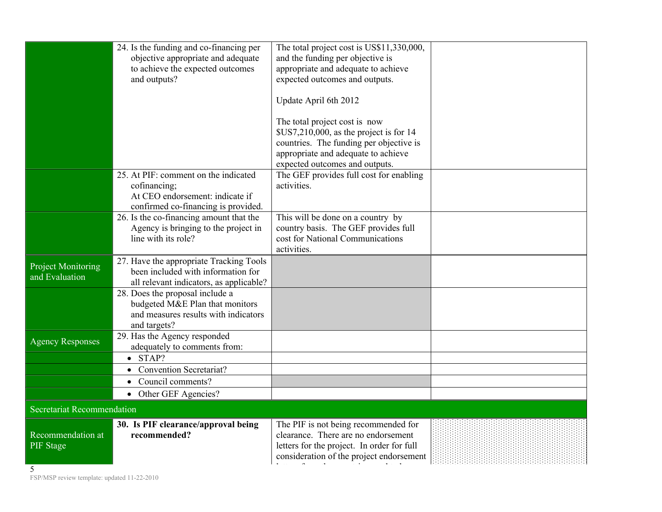|                                   | 24. Is the funding and co-financing per                     | The total project cost is US\$11,330,000,                                                                                                                                                      |  |
|-----------------------------------|-------------------------------------------------------------|------------------------------------------------------------------------------------------------------------------------------------------------------------------------------------------------|--|
|                                   | objective appropriate and adequate                          | and the funding per objective is                                                                                                                                                               |  |
|                                   | to achieve the expected outcomes                            | appropriate and adequate to achieve                                                                                                                                                            |  |
|                                   | and outputs?                                                | expected outcomes and outputs.                                                                                                                                                                 |  |
|                                   |                                                             | Update April 6th 2012                                                                                                                                                                          |  |
|                                   |                                                             | The total project cost is now<br>$$US7,210,000$ , as the project is for 14<br>countries. The funding per objective is<br>appropriate and adequate to achieve<br>expected outcomes and outputs. |  |
|                                   | 25. At PIF: comment on the indicated                        | The GEF provides full cost for enabling                                                                                                                                                        |  |
|                                   | cofinancing;                                                | activities.                                                                                                                                                                                    |  |
|                                   | At CEO endorsement: indicate if                             |                                                                                                                                                                                                |  |
|                                   | confirmed co-financing is provided.                         |                                                                                                                                                                                                |  |
|                                   | 26. Is the co-financing amount that the                     | This will be done on a country by                                                                                                                                                              |  |
|                                   | Agency is bringing to the project in<br>line with its role? | country basis. The GEF provides full<br>cost for National Communications                                                                                                                       |  |
|                                   |                                                             | activities.                                                                                                                                                                                    |  |
|                                   | 27. Have the appropriate Tracking Tools                     |                                                                                                                                                                                                |  |
| <b>Project Monitoring</b>         | been included with information for                          |                                                                                                                                                                                                |  |
| and Evaluation                    | all relevant indicators, as applicable?                     |                                                                                                                                                                                                |  |
|                                   | 28. Does the proposal include a                             |                                                                                                                                                                                                |  |
|                                   | budgeted M&E Plan that monitors                             |                                                                                                                                                                                                |  |
|                                   | and measures results with indicators                        |                                                                                                                                                                                                |  |
|                                   | and targets?                                                |                                                                                                                                                                                                |  |
| <b>Agency Responses</b>           | 29. Has the Agency responded                                |                                                                                                                                                                                                |  |
|                                   | adequately to comments from:                                |                                                                                                                                                                                                |  |
|                                   | $\bullet$ STAP?                                             |                                                                                                                                                                                                |  |
|                                   | <b>Convention Secretariat?</b>                              |                                                                                                                                                                                                |  |
|                                   | Council comments?                                           |                                                                                                                                                                                                |  |
|                                   | • Other GEF Agencies?                                       |                                                                                                                                                                                                |  |
| <b>Secretariat Recommendation</b> |                                                             |                                                                                                                                                                                                |  |
|                                   | 30. Is PIF clearance/approval being                         | The PIF is not being recommended for                                                                                                                                                           |  |
| Recommendation at                 | recommended?                                                | clearance. There are no endorsement                                                                                                                                                            |  |
| PIF Stage                         |                                                             | letters for the project. In order for full                                                                                                                                                     |  |
|                                   |                                                             | consideration of the project endorsement                                                                                                                                                       |  |
| 5                                 |                                                             |                                                                                                                                                                                                |  |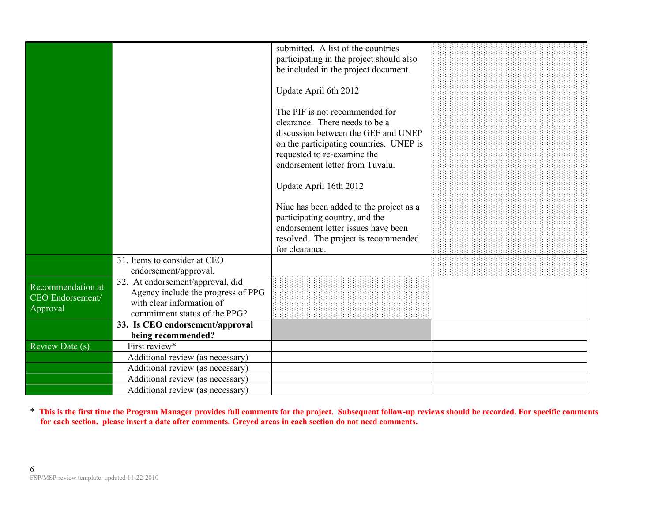|                                       |                                    | submitted. A list of the countries                                                                                                                                                                                   |  |
|---------------------------------------|------------------------------------|----------------------------------------------------------------------------------------------------------------------------------------------------------------------------------------------------------------------|--|
|                                       |                                    | participating in the project should also                                                                                                                                                                             |  |
|                                       |                                    | be included in the project document.                                                                                                                                                                                 |  |
|                                       |                                    | Update April 6th 2012                                                                                                                                                                                                |  |
|                                       |                                    | The PIF is not recommended for<br>clearance. There needs to be a<br>discussion between the GEF and UNEP<br>on the participating countries. UNEP is<br>requested to re-examine the<br>endorsement letter from Tuvalu. |  |
|                                       |                                    | Update April 16th 2012                                                                                                                                                                                               |  |
|                                       |                                    | Niue has been added to the project as a<br>participating country, and the                                                                                                                                            |  |
|                                       |                                    | endorsement letter issues have been<br>resolved. The project is recommended                                                                                                                                          |  |
|                                       |                                    | for clearance.                                                                                                                                                                                                       |  |
|                                       | 31. Items to consider at CEO       |                                                                                                                                                                                                                      |  |
|                                       | endorsement/approval.              |                                                                                                                                                                                                                      |  |
|                                       | 32. At endorsement/approval, did   |                                                                                                                                                                                                                      |  |
| Recommendation at<br>CEO Endorsement/ | Agency include the progress of PPG |                                                                                                                                                                                                                      |  |
| Approval                              | with clear information of          |                                                                                                                                                                                                                      |  |
|                                       | commitment status of the PPG?      |                                                                                                                                                                                                                      |  |
|                                       | 33. Is CEO endorsement/approval    |                                                                                                                                                                                                                      |  |
|                                       | being recommended?                 |                                                                                                                                                                                                                      |  |
| Review Date (s)                       | First review*                      |                                                                                                                                                                                                                      |  |
|                                       | Additional review (as necessary)   |                                                                                                                                                                                                                      |  |
|                                       | Additional review (as necessary)   |                                                                                                                                                                                                                      |  |
|                                       | Additional review (as necessary)   |                                                                                                                                                                                                                      |  |
|                                       | Additional review (as necessary)   |                                                                                                                                                                                                                      |  |

\* This is the first time the Program Manager provides full comments for the project. Subsequent follow-up reviews should be recorded. For specific comments for each section, please insert a date after comments. Greyed areas in each section do not need comments.